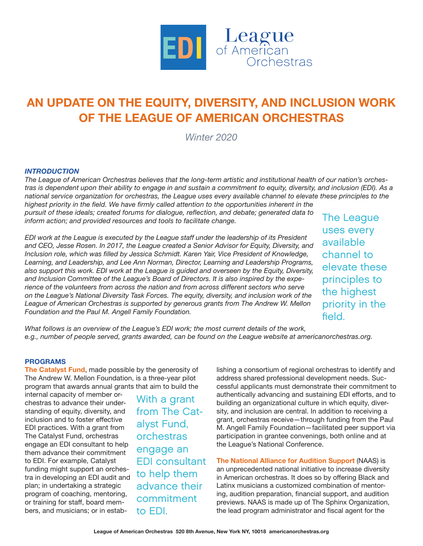

# **AN UPDATE ON THE EQUITY, DIVERSITY, AND INCLUSION WORK OF THE LEAGUE OF AMERICAN ORCHESTRAS**

*Winter 2020*

## *INTRODUCTION*

*The League of American Orchestras believes that the long-term artistic and institutional health of our nation's orchestras is dependent upon their ability to engage in and sustain a commitment to equity, diversity, and inclusion (EDI). As a national service organization for orchestras, the League uses every available channel to elevate these principles to the* 

*highest priority in the field. We have firmly called attention to the opportunities inherent in the pursuit of these ideals; created forums for dialogue, reflection, and debate; generated data to inform action; and provided resources and tools to facilitate change.*

*EDI work at the League is executed by the League staff under the leadership of its President and CEO, Jesse Rosen. In 2017, the League created a Senior Advisor for Equity, Diversity, and Inclusion role, which was filled by Jessica Schmidt. Karen Yair, Vice President of Knowledge, Learning, and Leadership, and Lee Ann Norman, Director, Learning and Leadership Programs, also support this work. EDI work at the League is guided and overseen by the Equity, Diversity, and Inclusion Committee of the League's Board of Directors. It is also inspired by the experience of the volunteers from across the nation and from across different sectors who serve on the League's National Diversity Task Forces. The equity, diversity, and inclusion work of the League of American Orchestras is supported by generous grants from The Andrew W. Mellon Foundation and the Paul M. Angell Family Foundation.*

The League uses every available channel to elevate these principles to the highest priority in the field.

*What follows is an overview of the League's EDI work; the most current details of the work, e.g., number of people served, grants awarded, can be found on the League website at americanorchestras.org.*

### **PROGRAMS**

**The Catalyst Fund**, made possible by the generosity of The Andrew W. Mellon Foundation, is a three-year pilot program that awards annual grants that aim to build the

internal capacity of member orchestras to advance their understanding of equity, diversity, and inclusion and to foster effective EDI practices. With a grant from The Catalyst Fund, orchestras engage an EDI consultant to help them advance their commitment to EDI. For example, Catalyst funding might support an orchestra in developing an EDI audit and plan; in undertaking a strategic program of coaching, mentoring, or training for staff, board members, and musicians; or in estab-

With a grant from The Catalyst Fund, orchestras engage an EDI consultant to help them advance their commitment to EDI.

lishing a consortium of regional orchestras to identify and address shared professional development needs. Successful applicants must demonstrate their commitment to authentically advancing and sustaining EDI efforts, and to building an organizational culture in which equity, diversity, and inclusion are central. In addition to receiving a grant, orchestras receive—through funding from the Paul M. Angell Family Foundation—facilitated peer support via participation in grantee convenings, both online and at the League's National Conference.

**The National Alliance for Audition Support** (NAAS) is an unprecedented national initiative to increase diversity in American orchestras. It does so by offering Black and Latinx musicians a customized combination of mentoring, audition preparation, financial support, and audition previews. NAAS is made up of The Sphinx Organization, the lead program administrator and fiscal agent for the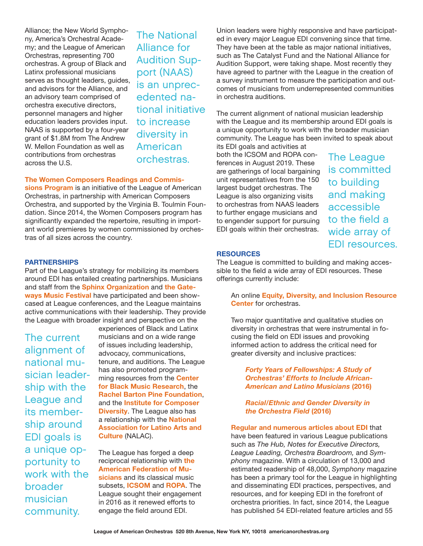Alliance; the New World Symphony, America's Orchestral Academy; and the League of American Orchestras, representing 700 orchestras. A group of Black and Latinx professional musicians serves as thought leaders, guides, and advisors for the Alliance, and an advisory team comprised of orchestra executive directors, personnel managers and higher education leaders provides input. NAAS is supported by a four-year grant of \$1.8M from The Andrew W. Mellon Foundation as well as contributions from orchestras across the U.S.

The National Alliance for Audition Support (NAAS) is an unprecedented national initiative to increase diversity in American

#### **The Women Composers Readings and Commis-**

**sions Program** is an initiative of the League of American Orchestras, in partnership with American Composers Orchestra, and supported by the Virginia B. Toulmin Foundation. Since 2014, the Women Composers program has significantly expanded the repertoire, resulting in important world premieres by women commissioned by orchestras of all sizes across the country.

#### **PARTNERSHIPS**

Part of the League's strategy for mobilizing its members around EDI has entailed creating partnerships. Musicians and staff from the **Sphinx Organization** and **the Gateways Music Festival** have participated and been showcased at League conferences, and the League maintains active communications with their leadership. They provide the League with broader insight and perspective on the

The current alignment of national musician leadership with the League and its membership around EDI goals is a unique opportunity to work with the broader musician community.

experiences of Black and Latinx musicians and on a wide range of issues including leadership, advocacy, communications, tenure, and auditions. The League has also promoted programming resources from the **Center for Black Music Research**, the **Rachel Barton Pine Foundation**, and the **Institute for Composer Diversity**. The League also has a relationship with the **National Association for Latino Arts and Culture** (NALAC).

The League has forged a deep reciprocal relationship with **the American Federation of Musicians** and its classical music subsets, **ICSOM** and **ROPA**. The League sought their engagement in 2016 as it renewed efforts to engage the field around EDI.

Union leaders were highly responsive and have participated in every major League EDI convening since that time. They have been at the table as major national initiatives, such as The Catalyst Fund and the National Alliance for Audition Support, were taking shape. Most recently they have agreed to partner with the League in the creation of a survey instrument to measure the participation and outcomes of musicians from underrepresented communities in orchestra auditions.

The current alignment of national musician leadership with the League and its membership around EDI goals is a unique opportunity to work with the broader musician community. The League has been invited to speak about its EDI goals and activities at

both the ICSOM and ROPA conorchestras. both the ICSOM and ROPA con-<br>
ferences in August 2019. These are gatherings of local bargaining unit representatives from the 150 largest budget orchestras. The League is also organizing visits to orchestras from NAAS leaders to further engage musicians and to engender support for pursuing EDI goals within their orchestras.

is committed to building and making accessible to the field a wide array of EDI resources.

#### **RESOURCES**

The League is committed to building and making accessible to the field a wide array of EDI resources. These offerings currently include:

An online **Equity, Diversity, and Inclusion Resource Center** for orchestras.

Two major quantitative and qualitative studies on diversity in orchestras that were instrumental in focusing the field on EDI issues and provoking informed action to address the critical need for greater diversity and inclusive practices:

*Forty Years of Fellowships: A Study of Orchestras' Efforts to Include African-American and Latino Musicians* **(2016)**

*Racial/Ethnic and Gender Diversity in the Orchestra Field* **(2016)**

**Regular and numerous articles about EDI** that have been featured in various League publications such as *The Hub, Notes for Executive Directors, League Leading, Orchestra Boardroom,* and *Symphony* magazine. With a circulation of 13,000 and estimated readership of 48,000, *Symphony* magazine has been a primary tool for the League in highlighting and disseminating EDI practices, perspectives, and resources, and for keeping EDI in the forefront of orchestra priorities. In fact, since 2014, the League has published 54 EDI-related feature articles and 55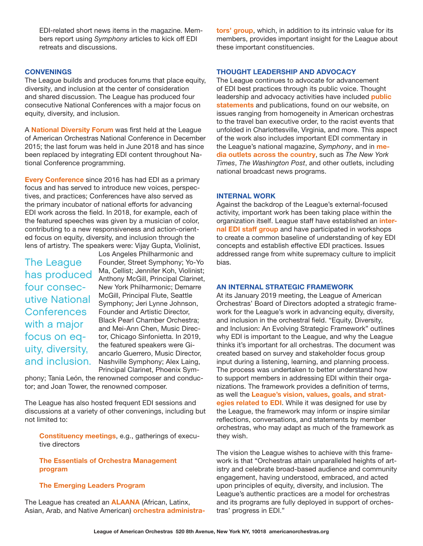EDI-related short news items in the magazine. Members report using *Symphony* articles to kick off EDI retreats and discussions.

## **CONVENINGS**

The League builds and produces forums that place equity, diversity, and inclusion at the center of consideration and shared discussion. The League has produced four consecutive National Conferences with a major focus on equity, diversity, and inclusion.

A **National Diversity Forum** was first held at the League of American Orchestras National Conference in December 2015; the last forum was held in June 2018 and has since been replaced by integrating EDI content throughout National Conference programming.

**Every Conference** since 2016 has had EDI as a primary focus and has served to introduce new voices, perspectives, and practices; Conferences have also served as the primary incubator of national efforts for advancing EDI work across the field. In 2018, for example, each of the featured speeches was given by a musician of color, contributing to a new responsiveness and action-oriented focus on equity, diversity, and inclusion through the lens of artistry. The speakers were: Vijay Gupta, Violinist,

The League has produced four consecutive National **Conferences** with a major focus on equity, diversity, and inclusion.

Los Angeles Philharmonic and Founder, Street Symphony; Yo-Yo Ma, Cellist; Jennifer Koh, Violinist; Anthony McGill, Principal Clarinet, New York Philharmonic; Demarre McGill, Principal Flute, Seattle Symphony; Jeri Lynne Johnson, Founder and Artistic Director, Black Pearl Chamber Orchestra; and Mei-Ann Chen, Music Director, Chicago Sinfonietta. In 2019, the featured speakers were Giancarlo Guerrero, Music Director, Nashville Symphony; Alex Laing, Principal Clarinet, Phoenix Sym-

phony; Tania León, the renowned composer and conductor; and Joan Tower, the renowned composer.

The League has also hosted frequent EDI sessions and discussions at a variety of other convenings, including but not limited to:

**Constituency meetings**, e.g., gatherings of executive directors

**The Essentials of Orchestra Management program**

## **The Emerging Leaders Program**

The League has created an **ALAANA** (African, Latinx, Asian, Arab, and Native American) **orchestra administra-** **tors' group**, which, in addition to its intrinsic value for its members, provides important insight for the League about these important constituencies.

## **THOUGHT LEADERSHIP AND ADVOCACY**

The League continues to advocate for advancement of EDI best practices through its public voice. Thought leadership and advocacy activities have included **public statements** and publications, found on our website, on issues ranging from homogeneity in American orchestras to the travel ban executive order, to the racist events that unfolded in Charlottesville, Virginia, and more. This aspect of the work also includes important EDI commentary in the League's national magazine, *Symphony*, and in **media outlets across the country**, such as *The New York Times*, *The Washington Post*, and other outlets, including national broadcast news programs.

#### **INTERNAL WORK**

Against the backdrop of the League's external-focused activity, important work has been taking place within the organization itself. League staff have established an **internal EDI staff group** and have participated in workshops to create a common baseline of understanding of key EDI concepts and establish effective EDI practices. Issues addressed range from white supremacy culture to implicit bias.

#### **AN INTERNAL STRATEGIC FRAMEWORK**

At its January 2019 meeting, the League of American Orchestras' Board of Directors adopted a strategic framework for the League's work in advancing equity, diversity, and inclusion in the orchestral field. "Equity, Diversity, and Inclusion: An Evolving Strategic Framework" outlines why EDI is important to the League, and why the League thinks it's important for all orchestras. The document was created based on survey and stakeholder focus group input during a listening, learning, and planning process. The process was undertaken to better understand how to support members in addressing EDI within their organizations. The framework provides a definition of terms, as well the **League's vision, values, goals, and strategies related to EDI**. While it was designed for use by the League, the framework may inform or inspire similar reflections, conversations, and statements by member orchestras, who may adapt as much of the framework as they wish.

The vision the League wishes to achieve with this framework is that "Orchestras attain unparalleled heights of artistry and celebrate broad-based audience and community engagement, having understood, embraced, and acted upon principles of equity, diversity, and inclusion. The League's authentic practices are a model for orchestras and its programs are fully deployed in support of orchestras' progress in EDI."